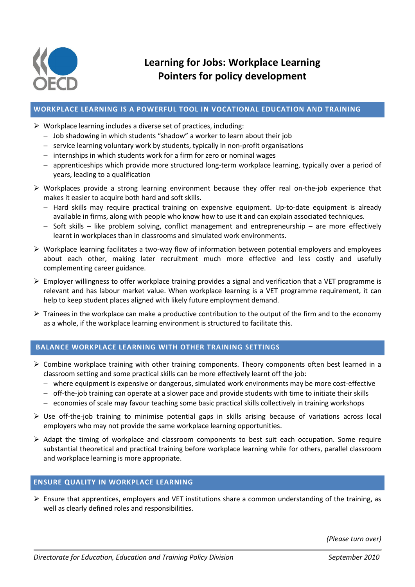

### **WORKPLACE LEARNING IS A POWERFUL TOOL IN VOCATIONAL EDUCATION AND TRAINING**

- $\triangleright$  Workplace learning includes a diverse set of practices, including:
	- Job shadowing in which students "shadow" a worker to learn about their job
	- service learning voluntary work by students, typically in non-profit organisations
	- $-$  internships in which students work for a firm for zero or nominal wages
	- apprenticeships which provide more structured long-term workplace learning, typically over a period of years, leading to a qualification
- Workplaces provide a strong learning environment because they offer real on-the-job experience that makes it easier to acquire both hard and soft skills.
	- $-$  Hard skills may require practical training on expensive equipment. Up-to-date equipment is already available in firms, along with people who know how to use it and can explain associated techniques.
	- $-$  Soft skills like problem solving, conflict management and entrepreneurship are more effectively learnt in workplaces than in classrooms and simulated work environments.
- $\triangleright$  Workplace learning facilitates a two-way flow of information between potential employers and employees about each other, making later recruitment much more effective and less costly and usefully complementing career guidance.
- $\triangleright$  Employer willingness to offer workplace training provides a signal and verification that a VET programme is relevant and has labour market value. When workplace learning is a VET programme requirement, it can help to keep student places aligned with likely future employment demand.
- $\triangleright$  Trainees in the workplace can make a productive contribution to the output of the firm and to the economy as a whole, if the workplace learning environment is structured to facilitate this.

# **BALANCE WORKPLACE LEARNING WITH OTHER TRAINING SETTINGS**

- $\triangleright$  Combine workplace training with other training components. Theory components often best learned in a classroom setting and some practical skills can be more effectively learnt off the job:
	- where equipment is expensive or dangerous, simulated work environments may be more cost-effective
	- $-$  off-the-job training can operate at a slower pace and provide students with time to initiate their skills
	- economies of scale may favour teaching some basic practical skills collectively in training workshops
- $\triangleright$  Use off-the-job training to minimise potential gaps in skills arising because of variations across local employers who may not provide the same workplace learning opportunities.
- $\triangleright$  Adapt the timing of workplace and classroom components to best suit each occupation. Some require substantial theoretical and practical training before workplace learning while for others, parallel classroom and workplace learning is more appropriate.

## **ENSURE QUALITY IN WORKPLACE LEARNING**

 $\triangleright$  Ensure that apprentices, employers and VET institutions share a common understanding of the training, as well as clearly defined roles and responsibilities.

*(Please turn over)*